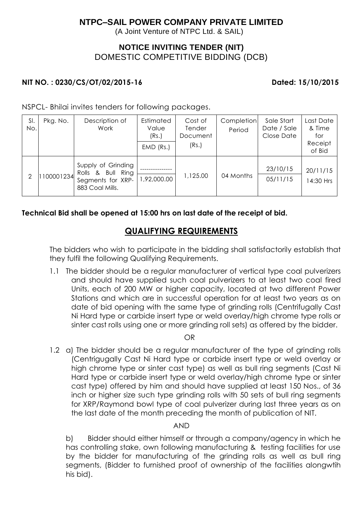# **NTPC–SAIL POWER COMPANY PRIVATE LIMITED**

(A Joint Venture of NTPC Ltd. & SAIL)

# **NOTICE INVITING TENDER (NIT)** DOMESTIC COMPETITIVE BIDDING (DCB)

### **NIT NO. : 0230/CS/OT/02/2015-16 Dated: 15/10/2015**

NSPCL- Bhilai invites tenders for following packages.

| SI.<br>No.    | Pkg. No.  | Description of<br>Work                                                          | Estimated<br>Value<br>(Rs.)<br>$EMD$ (Rs.) | Cost of<br>Tender<br>Document<br>(Rs.) | Completion<br>Period | Sale Start<br>Date / Sale<br>Close Date | Last Date<br>& Time<br>for<br>Receipt<br>of Bid |
|---------------|-----------|---------------------------------------------------------------------------------|--------------------------------------------|----------------------------------------|----------------------|-----------------------------------------|-------------------------------------------------|
| $\mathcal{P}$ | 100001234 | Supply of Grinding<br>Rolls & Bull Ring<br>Segments for XRP-<br>883 Coal Mills. | 92,000.00                                  | 1,125.00                               | 04 Months            | 23/10/15<br>05/11/15                    | 20/11/15<br>14:30 Hrs                           |

## **Technical Bid shall be opened at 15:00 hrs on last date of the receipt of bid.**

# **QUALIFYING REQUIREMENTS**

The bidders who wish to participate in the bidding shall satisfactorily establish that they fulfil the following Qualifying Requirements.

1.1 The bidder should be a regular manufacturer of vertical type coal pulverizers and should have supplied such coal pulverizers to at least two coal fired Units, each of 200 MW or higher capacity, located at two different Power Stations and which are in successful operation for at least two years as on date of bid opening with the same type of grinding rolls (Centrifugally Cast Ni Hard type or carbide insert type or weld overlay/high chrome type rolls or sinter cast rolls using one or more grinding roll sets) as offered by the bidder.

OR

1.2 a) The bidder should be a regular manufacturer of the type of grinding rolls (Centrigugally Cast Ni Hard type or carbide insert type or weld overlay or high chrome type or sinter cast type) as well as bull ring segments (Cast Ni Hard type or carbide insert type or weld overlay/high chrome type or sinter cast type) offered by him and should have supplied at least 150 Nos., of 36 inch or higher size such type grinding rolls with 50 sets of bull ring segments for XRP/Raymond bowl type of coal pulverizer during last three years as on the last date of the month preceding the month of publication of NIT.

### AND

b) Bidder should either himself or through a company/agency in which he has controlling stake, own following manufacturing & testing facilities for use by the bidder for manufacturing of the grinding rolls as well as bull ring segments, (Bidder to furnished proof of ownership of the facilities alongwtih his bid).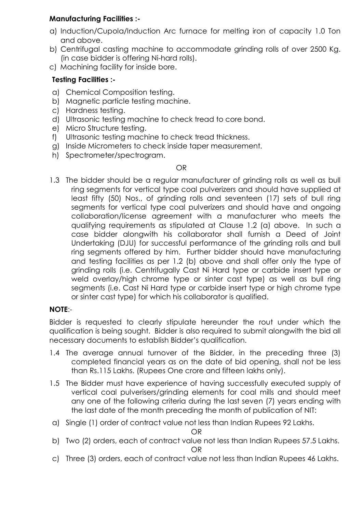## **Manufacturing Facilities :-**

- a) Induction/Cupola/Induction Arc furnace for melting iron of capacity 1.0 Ton and above.
- b) Centrifugal casting machine to accommodate grinding rolls of over 2500 Kg. (in case bidder is offering Ni-hard rolls).
- c) Machining facility for inside bore.

# **Testing Facilities :-**

- a) Chemical Composition testing.
- b) Magnetic particle testing machine.
- c) Hardness testing.
- d) Ultrasonic testing machine to check tread to core bond.
- e) Micro Structure testing.
- f) Ultrasonic testing machine to check tread thickness.
- g) Inside Micrometers to check inside taper measurement.
- h) Spectrometer/spectrogram.

### OR

1.3 The bidder should be a regular manufacturer of grinding rolls as well as bull ring segments for vertical type coal pulverizers and should have supplied at least fifty (50) Nos., of grinding rolls and seventeen (17) sets of bull ring segments for vertical type coal pulverizers and should have and ongoing collaboration/license agreement with a manufacturer who meets the qualifying requirements as stipulated at Clause 1.2 (a) above. In such a case bidder alongwith his collaborator shall furnish a Deed of Joint Undertaking (DJU) for successful performance of the grinding rolls and bull ring segments offered by him. Further bidder should have manufacturing and testing facilities as per 1.2 (b) above and shall offer only the type of grinding rolls (i.e. Centrifugally Cast Ni Hard type or carbide insert type or weld overlay/high chrome type or sinter cast type) as well as bull ring segments (i.e. Cast Ni Hard type or carbide insert type or high chrome type or sinter cast type) for which his collaborator is qualified.

## **NOTE**:-

Bidder is requested to clearly stipulate hereunder the rout under which the qualification is being sought. Bidder is also required to submit alongwith the bid all necessary documents to establish Bidder's qualification.

- 1.4 The average annual turnover of the Bidder, in the preceding three (3) completed financial years as on the date of bid opening, shall not be less than Rs.115 Lakhs. (Rupees One crore and fifteen lakhs only).
- 1.5 The Bidder must have experience of having successfully executed supply of vertical coal pulverisers/grinding elements for coal mills and should meet any one of the following criteria during the last seven (7) years ending with the last date of the month preceding the month of publication of NIT:
- a) Single (1) order of contract value not less than Indian Rupees 92 Lakhs.

OR

- b) Two (2) orders, each of contract value not less than Indian Rupees 57.5 Lakhs. OR
- c) Three (3) orders, each of contract value not less than Indian Rupees 46 Lakhs.